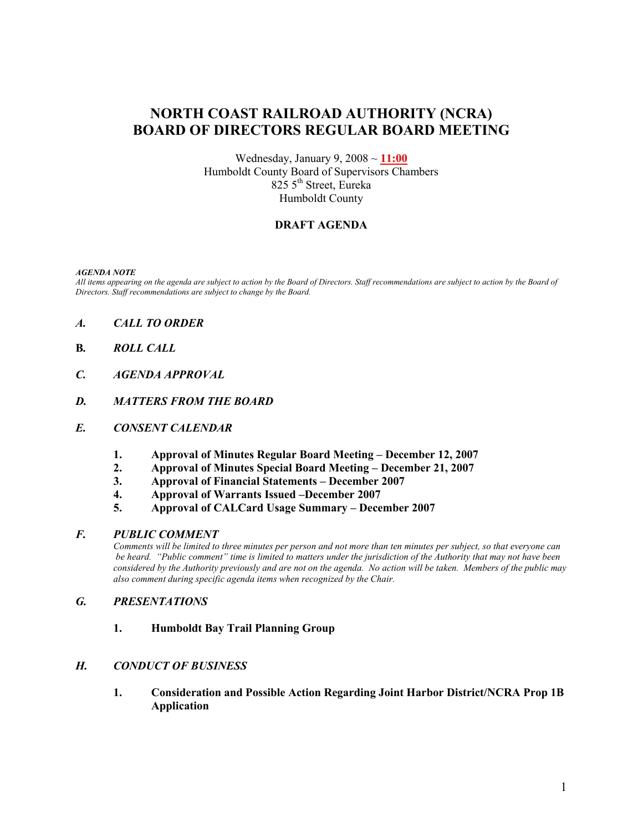# NORTH COAST RAILROAD AUTHORITY (NCRA) BOARD OF DIRECTORS REGULAR BOARD MEETING

Wednesday, January 9,  $2008 \sim 11:00$ Humboldt County Board of Supervisors Chambers 825 5<sup>th</sup> Street, Eureka Humboldt County

## DRAFT AGENDA

#### AGENDA NOTE

All items appearing on the agenda are subject to action by the Board of Directors. Staff recommendations are subject to action by the Board of Directors. Staff recommendations are subject to change by the Board.

- A. CALL TO ORDER
- B. ROLL CALL
- C. AGENDA APPROVAL
- D. MATTERS FROM THE BOARD
- E. CONSENT CALENDAR
	- 1. Approval of Minutes Regular Board Meeting December 12, 2007
	- 2. Approval of Minutes Special Board Meeting December 21, 2007<br>3. Approval of Financial Statements December 2007
	- 3. Approval of Financial Statements December 2007
	- 4. Approval of Warrants Issued –December 2007
	- 5. Approval of CALCard Usage Summary December 2007

#### F. PUBLIC COMMENT

Comments will be limited to three minutes per person and not more than ten minutes per subject, so that everyone can be heard. "Public comment" time is limited to matters under the jurisdiction of the Authority that may not have been considered by the Authority previously and are not on the agenda. No action will be taken. Members of the public may also comment during specific agenda items when recognized by the Chair.

#### G. PRESENTATIONS

1. Humboldt Bay Trail Planning Group

## H. CONDUCT OF BUSINESS

1. Consideration and Possible Action Regarding Joint Harbor District/NCRA Prop 1B Application